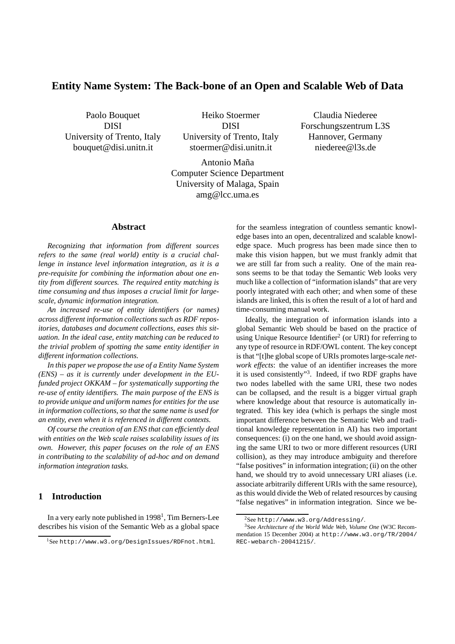## **Entity Name System: The Back-bone of an Open and Scalable Web of Data**

Paolo Bouquet DISI University of Trento, Italy bouquet@disi.unitn.it

Heiko Stoermer DISI University of Trento, Italy stoermer@disi.unitn.it

Antonio Maña Computer Science Department University of Malaga, Spain amg@lcc.uma.es

# Claudia Niederee Forschungszentrum L3S Hannover, Germany niederee@l3s.de

#### **Abstract**

*Recognizing that information from different sources refers to the same (real world) entity is a crucial challenge in instance level information integration, as it is a pre-requisite for combining the information about one entity from different sources. The required entity matching is time consuming and thus imposes a crucial limit for largescale, dynamic information integration.*

*An increased re-use of entity identifiers (or names) across different information collections such as RDF repositories, databases and document collections, eases this situation. In the ideal case, entity matching can be reduced to the trivial problem of spotting the same entity identifier in different information collections.*

*In this paper we propose the use of a Entity Name System (ENS) – as it is currently under development in the EUfunded project OKKAM – for systematically supporting the re-use of entity identifiers. The main purpose of the ENS is to provide unique and uniform names for entities for the use in information collections, so that the same name is used for an entity, even when it is referenced in different contexts.*

*Of course the creation of an ENS that can efficiently deal with entities on the Web scale raises scalability issues of its own. However, this paper focuses on the role of an ENS in contributing to the scalability of ad-hoc and on demand information integration tasks.*

### **1 Introduction**

In a very early note published in 1998<sup>1</sup>, Tim Berners-Lee describes his vision of the Semantic Web as a global space for the seamless integration of countless semantic knowledge bases into an open, decentralized and scalable knowledge space. Much progress has been made since then to make this vision happen, but we must frankly admit that we are still far from such a reality. One of the main reasons seems to be that today the Semantic Web looks very much like a collection of "information islands" that are very poorly integrated with each other; and when some of these islands are linked, this is often the result of a lot of hard and time-consuming manual work.

Ideally, the integration of information islands into a global Semantic Web should be based on the practice of using Unique Resource Identifier<sup>2</sup> (or URI) for referring to any type of resource in RDF/OWL content. The key concept is that "[t]he global scope of URIs promotes large-scale *network effects*: the value of an identifier increases the more it is used consistently"<sup>3</sup> . Indeed, if two RDF graphs have two nodes labelled with the same URI, these two nodes can be collapsed, and the result is a bigger virtual graph where knowledge about that resource is automatically integrated. This key idea (which is perhaps the single most important difference between the Semantic Web and traditional knowledge representation in AI) has two important consequences: (i) on the one hand, we should avoid assigning the same URI to two or more different resources (URI collision), as they may introduce ambiguity and therefore "false positives" in information integration; (ii) on the other hand, we should try to avoid unnecessary URI aliases (i.e. associate arbitrarily different URIs with the same resource), as this would divide the Web of related resources by causing "false negatives" in information integration. Since we be-

<sup>1</sup>See http://www.w3.org/DesignIssues/RDFnot.html.

 $2$ See http://www.w3.org/Addressing/.

<sup>3</sup>See *Architecture of the World Wide Web, Volume One* (W3C Recommendation 15 December 2004) at http://www.w3.org/TR/2004/ REC-webarch-20041215/.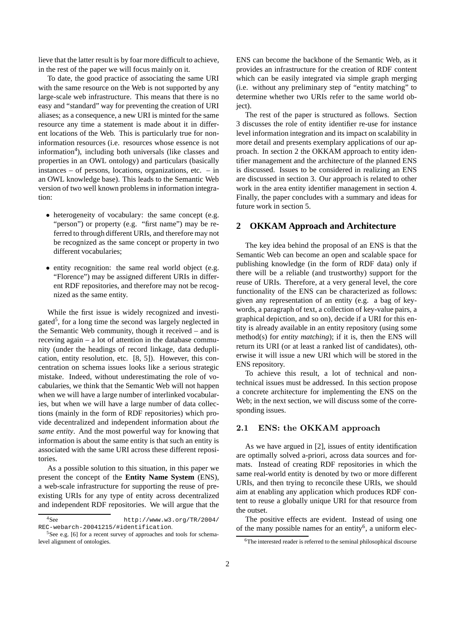lieve that the latter result is by foar more difficult to achieve, in the rest of the paper we will focus mainly on it.

To date, the good practice of associating the same URI with the same resource on the Web is not supported by any large-scale web infrastructure. This means that there is no easy and "standard" way for preventing the creation of URI aliases; as a consequence, a new URI is minted for the same resource any time a statement is made about it in different locations of the Web. This is particularly true for noninformation resources (i.e. resources whose essence is not information<sup>4</sup>), including both universals (like classes and properties in an OWL ontology) and particulars (basically instances – of persons, locations, organizations, etc. – in an OWL knowledge base). This leads to the Semantic Web version of two well known problems in information integration:

- heterogeneity of vocabulary: the same concept (e.g. "person") or property (e.g. "first name") may be referred to through different URIs, and therefore may not be recognized as the same concept or property in two different vocabularies;
- entity recognition: the same real world object (e.g. "Florence") may be assigned different URIs in different RDF repositories, and therefore may not be recognized as the same entity.

While the first issue is widely recognized and investigated<sup>5</sup>, for a long time the second was largely neglected in the Semantic Web community, though it received – and is receving again – a lot of attention in the database community (under the headings of record linkage, data deduplication, entity resolution, etc. [8, 5]). However, this concentration on schema issues looks like a serious strategic mistake. Indeed, without underestimating the role of vocabularies, we think that the Semantic Web will not happen when we will have a large number of interlinked vocabularies, but when we will have a large number of data collections (mainly in the form of RDF repositories) which provide decentralized and independent information about *the same entity*. And the most powerful way for knowing that information is about the same entity is that such an entity is associated with the same URI across these different repositories.

As a possible solution to this situation, in this paper we present the concept of the **Entity Name System** (ENS), a web-scale infrastructure for supporting the reuse of preexisting URIs for any type of entity across decentralized and independent RDF repositories. We will argue that the

ENS can become the backbone of the Semantic Web, as it provides an infrastructure for the creation of RDF content which can be easily integrated via simple graph merging (i.e. without any preliminary step of "entity matching" to determine whether two URIs refer to the same world object).

The rest of the paper is structured as follows. Section 3 discusses the role of entity identifier re-use for instance level information integration and its impact on scalability in more detail and presents exemplary applications of our approach. In section 2 the OKKAM approach to entity identifier management and the architecture of the planned ENS is discussed. Issues to be considered in realizing an ENS are discussed in section 3. Our approach is related to other work in the area entity identifier management in section 4. Finally, the paper concludes with a summary and ideas for future work in section 5.

#### **2 OKKAM Approach and Architecture**

The key idea behind the proposal of an ENS is that the Semantic Web can become an open and scalable space for publishing knowledge (in the form of RDF data) only if there will be a reliable (and trustworthy) support for the reuse of URIs. Therefore, at a very general level, the core functionality of the ENS can be characterized as follows: given any representation of an entity (e.g. a bag of keywords, a paragraph of text, a collection of key-value pairs, a graphical depiction, and so on), decide if a URI for this entity is already available in an entity repository (using some method(s) for *entity matching*); if it is, then the ENS will return its URI (or at least a ranked list of candidates), otherwise it will issue a new URI which will be stored in the ENS repository.

To achieve this result, a lot of technical and nontechnical issues must be addressed. In this section propose a concrete architecture for implementing the ENS on the Web; in the next section, we will discuss some of the corresponding issues.

#### 2.1 ENS: the OKKAM approach

As we have argued in [2], issues of entity identification are optimally solved a-priori, across data sources and formats. Instead of creating RDF repositories in which the same real-world entity is denoted by two or more different URIs, and then trying to reconcile these URIs, we should aim at enabling any application which produces RDF content to reuse a globally unique URI for that resource from the outset.

The positive effects are evident. Instead of using one of the many possible names for an entity<sup>6</sup>, a uniform elec-

<sup>4</sup>See http://www.w3.org/TR/2004/ REC-webarch-20041215/#identification.

<sup>5</sup>See e.g. [6] for a recent survey of approaches and tools for schemalevel alignment of ontologies.

<sup>6</sup>The interested reader is referred to the seminal philosophical discourse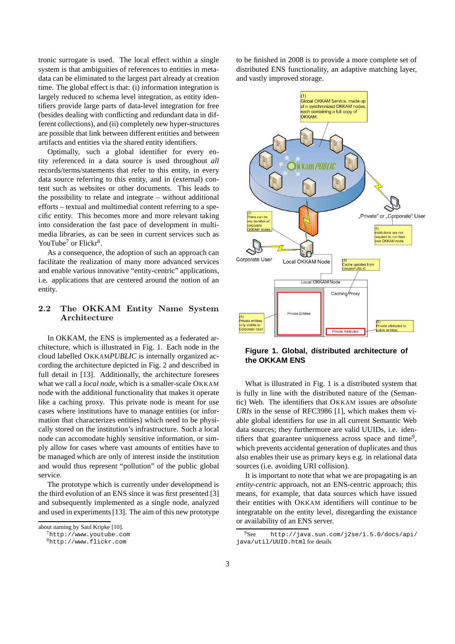tronic surrogate is used. The local effect within a single system is that ambiguities of references to entities in metadata can be eliminated to the largest part already at creation time. The global effect is that: (i) information integration is largely reduced to schema level integration, as entity identifiers provide large parts of data-level integration for free (besides dealing with conflicting and redundant data in different collections), and (ii) completely new hyper-structures are possible that link between different entities and between artifacts and entities via the shared entity identifiers.

Optimally, such a global identifier for every entity referenced in a data source is used throughout *all* records/terms/statements that refer to this entity, in every data source referring to this entity, and in (external) content such as websites or other documents. This leads to the possibility to relate and integrate – without additional efforts – textual and multimedial content referring to a specific entity. This becomes more and more relevant taking into consideration the fast pace of development in multimedia libraries, as can be seen in current services such as YouTube<sup>7</sup> or Flickr<sup>8</sup>.

As a consequence, the adoption of such an approach can facilitate the realization of many more advanced services and enable various innovative "entity-centric" applications, i.e. applications that are centered around the notion of an entity.

### 2.2 The OKKAM Entity Name System Architecture

In OKKAM, the ENS is implemented as a federated architecture, which is illustrated in Fig. 1. Each node in the cloud labelled OKKAM*PUBLIC* is internally organized according the architecture depicted in Fig. 2 and described in full detail in [13]. Additionally, the architecture foresees what we call a *local node*, which is a smaller-scale OKKAM node with the additional functionality that makes it operate like a caching proxy. This private node is meant for use cases where institutions have to manage entities (or information that characterizes entities) which need to be physically stored on the institution's infrastructure. Such a local node can accomodate highly sensitive information, or simply allow for cases where vast amounts of entities have to be managed which are only of interest inside the institution and would thus represent "pollution" of the public global service.

The prototype which is currently under developmend is the third evolution of an ENS since it was first presented [3] and subsequently implemented as a single node, analyzed and used in experiments [13]. The aim of this new prototype to be finished in 2008 is to provide a more complete set of distributed ENS functionality, an adaptive matching layer, and vastly improved storage.



#### **Figure 1. Global, distributed architecture of the OKKAM ENS**

What is illustrated in Fig. 1 is a distributed system that is fully in line with the distributed nature of the (Semantic) Web. The identifiers that OKKAM issues are *absolute URIs* in the sense of RFC3986 [1], which makes them viable global identifiers for use in all current Semantic Web data sources; they furthermore are valid UUIDs, i.e. identifiers that guarantee uniqueness across space and time<sup>9</sup>, which prevents accidental generation of duplicates and thus also enables their use as primary keys e.g. in relational data sources (i.e. avoiding URI collision).

It is important to note that what we are propagating is an *entity-centric* approach, not an ENS-centric approach; this means, for example, that data sources which have issued their entities with OKKAM identifiers will continue to be integratable on the entity level, disregarding the existance or availability of an ENS server.

about naming by Saul Kripke [10].

<sup>7</sup>http://www.youtube.com

<sup>8</sup>http://www.flickr.com

 $9$ See http://java.sun.com/j2se/1.5.0/docs/api/ java/util/UUID.html for details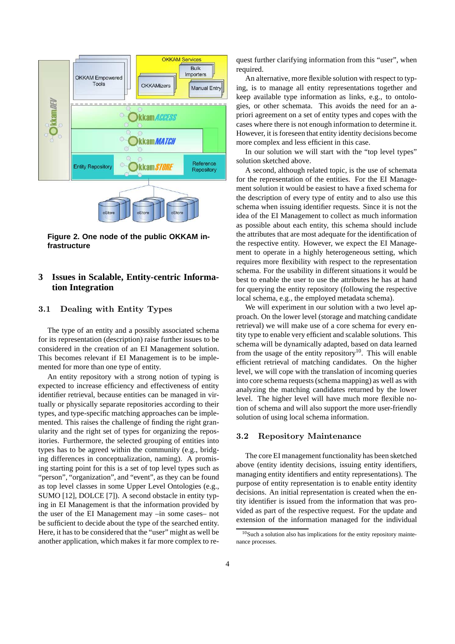

**Figure 2. One node of the public OKKAM infrastructure**

## **3 Issues in Scalable, Entity-centric Information Integration**

### 3.1 Dealing with Entity Types

The type of an entity and a possibly associated schema for its representation (description) raise further issues to be considered in the creation of an EI Management solution. This becomes relevant if EI Management is to be implemented for more than one type of entity.

An entity repository with a strong notion of typing is expected to increase efficiency and effectiveness of entity identifier retrieval, because entities can be managed in virtually or physically separate repositories according to their types, and type-specific matching approaches can be implemented. This raises the challenge of finding the right granularity and the right set of types for organizing the repositories. Furthermore, the selected grouping of entities into types has to be agreed within the community (e.g., bridging differences in conceptualization, naming). A promising starting point for this is a set of top level types such as "person", "organization", and "event", as they can be found as top level classes in some Upper Level Ontologies (e.g., SUMO [12], DOLCE [7]). A second obstacle in entity typing in EI Management is that the information provided by the user of the EI Management may –in some cases– not be sufficient to decide about the type of the searched entity. Here, it has to be considered that the "user" might as well be another application, which makes it far more complex to request further clarifying information from this "user", when required.

An alternative, more flexible solution with respect to typing, is to manage all entity representations together and keep available type information as links, e.g., to ontologies, or other schemata. This avoids the need for an apriori agreement on a set of entity types and copes with the cases where there is not enough information to determine it. However, it is foreseen that entity identity decisions become more complex and less efficient in this case.

In our solution we will start with the "top level types" solution sketched above.

A second, although related topic, is the use of schemata for the representation of the entities. For the EI Management solution it would be easiest to have a fixed schema for the description of every type of entity and to also use this schema when issuing identifier requests. Since it is not the idea of the EI Management to collect as much information as possible about each entity, this schema should include the attributes that are most adequate for the identification of the respective entity. However, we expect the EI Management to operate in a highly heterogeneous setting, which requires more flexibility with respect to the representation schema. For the usability in different situations it would be best to enable the user to use the attributes he has at hand for querying the entity repository (following the respective local schema, e.g., the employed metadata schema).

We will experiment in our solution with a two level approach. On the lower level (storage and matching candidate retrieval) we will make use of a core schema for every entity type to enable very efficient and scalable solutions. This schema will be dynamically adapted, based on data learned from the usage of the entity repository<sup>10</sup>. This will enable efficient retrieval of matching candidates. On the higher level, we will cope with the translation of incoming queries into core schema requests (schema mapping) as well as with analyzing the matching candidates returned by the lower level. The higher level will have much more flexible notion of schema and will also support the more user-friendly solution of using local schema information.

#### 3.2 Repository Maintenance

The core EI management functionality has been sketched above (entity identity decisions, issuing entity identifiers, managing entity identifiers and entity representations). The purpose of entity representation is to enable entity identity decisions. An initial representation is created when the entity identifier is issued from the information that was provided as part of the respective request. For the update and extension of the information managed for the individual

<sup>10</sup>Such a solution also has implications for the entity repository maintenance processes.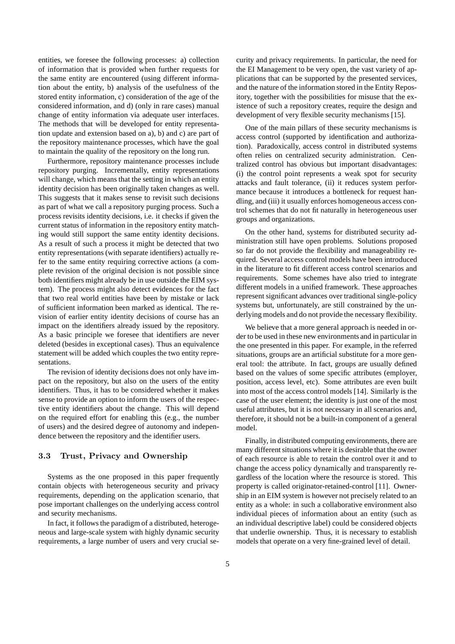entities, we foresee the following processes: a) collection of information that is provided when further requests for the same entity are encountered (using different information about the entity, b) analysis of the usefulness of the stored entity information, c) consideration of the age of the considered information, and d) (only in rare cases) manual change of entity information via adequate user interfaces. The methods that will be developed for entity representation update and extension based on a), b) and c) are part of the repository maintenance processes, which have the goal to maintain the quality of the repository on the long run.

Furthermore, repository maintenance processes include repository purging. Incrementally, entity representations will change, which means that the setting in which an entity identity decision has been originally taken changes as well. This suggests that it makes sense to revisit such decisions as part of what we call a repository purging process. Such a process revisits identity decisions, i.e. it checks if given the current status of information in the repository entity matching would still support the same entity identity decisions. As a result of such a process it might be detected that two entity representations (with separate identifiers) actually refer to the same entity requiring corrective actions (a complete revision of the original decision is not possible since both identifiers might already be in use outside the EIM system). The process might also detect evidences for the fact that two real world entities have been by mistake or lack of sufficient information been marked as identical. The revision of earlier entity identity decisions of course has an impact on the identifiers already issued by the repository. As a basic principle we foresee that identifiers are never deleted (besides in exceptional cases). Thus an equivalence statement will be added which couples the two entity representations.

The revision of identity decisions does not only have impact on the repository, but also on the users of the entity identifiers. Thus, it has to be considered whether it makes sense to provide an option to inform the users of the respective entity identifiers about the change. This will depend on the required effort for enabling this (e.g., the number of users) and the desired degree of autonomy and independence between the repository and the identifier users.

#### 3.3 Trust, Privacy and Ownership

Systems as the one proposed in this paper frequently contain objects with heterogeneous security and privacy requirements, depending on the application scenario, that pose important challenges on the underlying access control and security mechanisms.

In fact, it follows the paradigm of a distributed, heterogeneous and large-scale system with highly dynamic security requirements, a large number of users and very crucial security and privacy requirements. In particular, the need for the EI Management to be very open, the vast variety of applications that can be supported by the presented services, and the nature of the information stored in the Entity Repository, together with the possibilities for misuse that the existence of such a repository creates, require the design and development of very flexible security mechanisms [15].

One of the main pillars of these security mechanisms is access control (supported by identification and authorization). Paradoxically, access control in distributed systems often relies on centralized security administration. Centralized control has obvious but important disadvantages: (i) the control point represents a weak spot for security attacks and fault tolerance, (ii) it reduces system performance because it introduces a bottleneck for request handling, and (iii) it usually enforces homogeneous access control schemes that do not fit naturally in heterogeneous user groups and organizations.

On the other hand, systems for distributed security administration still have open problems. Solutions proposed so far do not provide the flexibility and manageability required. Several access control models have been introduced in the literature to fit different access control scenarios and requirements. Some schemes have also tried to integrate different models in a unified framework. These approaches represent significant advances over traditional single-policy systems but, unfortunately, are still constrained by the underlying models and do not provide the necessary flexibility.

We believe that a more general approach is needed in order to be used in these new environments and in particular in the one presented in this paper. For example, in the referred situations, groups are an artificial substitute for a more general tool: the attribute. In fact, groups are usually defined based on the values of some specific attributes (employer, position, access level, etc). Some attributes are even built into most of the access control models [14]. Similarly is the case of the user element; the identity is just one of the most useful attributes, but it is not necessary in all scenarios and, therefore, it should not be a built-in component of a general model.

Finally, in distributed computing environments, there are many different situations where it is desirable that the owner of each resource is able to retain the control over it and to change the access policy dynamically and transparently regardless of the location where the resource is stored. This property is called originator-retained-control [11]. Ownership in an EIM system is however not precisely related to an entity as a whole: in such a collaborative environment also individual pieces of information about an entity (such as an individual descriptive label) could be considered objects that underlie ownership. Thus, it is necessary to establish models that operate on a very fine-grained level of detail.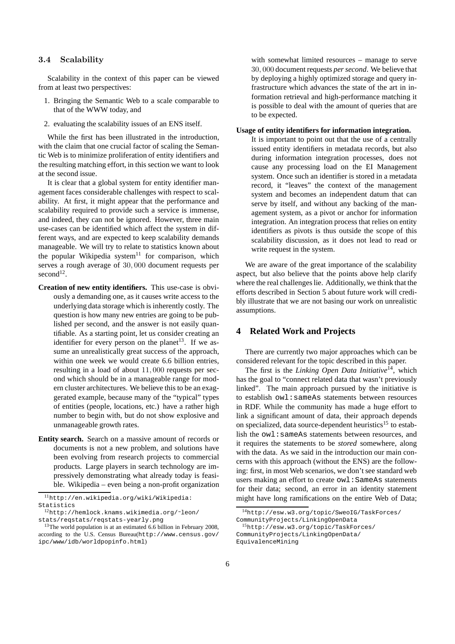#### 3.4 Scalability

Scalability in the context of this paper can be viewed from at least two perspectives:

- 1. Bringing the Semantic Web to a scale comparable to that of the WWW today, and
- 2. evaluating the scalability issues of an ENS itself.

While the first has been illustrated in the introduction, with the claim that one crucial factor of scaling the Semantic Web is to minimize proliferation of entity identifiers and the resulting matching effort, in this section we want to look at the second issue.

It is clear that a global system for entity identifier management faces considerable challenges with respect to scalability. At first, it might appear that the performance and scalability required to provide such a service is immense, and indeed, they can not be ignored. However, three main use-cases can be identified which affect the system in different ways, and are expected to keep scalability demands manageable. We will try to relate to statistics known about the popular Wikipedia system<sup>11</sup> for comparison, which serves a rough average of <sup>30</sup>, <sup>000</sup> document requests per  $second<sup>12</sup>$ .

- **Creation of new entity identifiers.** This use-case is obviously a demanding one, as it causes write access to the underlying data storage which is inherently costly. The question is how many new entries are going to be published per second, and the answer is not easily quantifiable. As a starting point, let us consider creating an identifier for every person on the planet<sup>13</sup>. If we assume an unrealistically great success of the approach, within one week we would create 6.6 billion entries. resulting in a load of about <sup>11</sup>, <sup>000</sup> requests per second which should be in a manageable range for modern cluster architectures. We believe this to be an exaggerated example, because many of the "typical" types of entities (people, locations, etc.) have a rather high number to begin with, but do not show explosive and unmanageable growth rates.
- **Entity search.** Search on a massive amount of records or documents is not a new problem, and solutions have been evolving from research projects to commercial products. Large players in search technology are impressively demonstrating what already today is feasible. Wikipedia – even being a non-profit organization

with somewhat limited resources – manage to serve <sup>30</sup>, <sup>000</sup> document requests *per second*. We believe that by deploying a highly optimized storage and query infrastructure which advances the state of the art in information retrieval and high-performance matching it is possible to deal with the amount of queries that are to be expected.

#### **Usage of entity identifiers for information integration.**

It is important to point out that the use of a centrally issued entity identifiers in metadata records, but also during information integration processes, does not cause any processing load on the EI Management system. Once such an identifier is stored in a metadata record, it "leaves" the context of the management system and becomes an independent datum that can serve by itself, and without any backing of the management system, as a pivot or anchor for information integration. An integration process that relies on entity identifiers as pivots is thus outside the scope of this scalability discussion, as it does not lead to read or write request in the system.

We are aware of the great importance of the scalability aspect, but also believe that the points above help clarify where the real challenges lie. Additionally, we think that the efforts described in Section 5 about future work will credibly illustrate that we are not basing our work on unrealistic assumptions.

## **4 Related Work and Projects**

There are currently two major approaches which can be considered relevant for the topic described in this paper.

The first is the *Linking Open Data Initiative*<sup>14</sup>, which has the goal to "connect related data that wasn't previously linked". The main approach pursued by the initiative is to establish owl:sameAs statements between resources in RDF. While the community has made a huge effort to link a significant amount of data, their approach depends on specialized, data source-dependent heuristics<sup>15</sup> to establish the  $\text{owl}:$  sameAs statements between resources, and it requires the statements to be *stored* somewhere, along with the data. As we said in the introduction our main concerns with this approach (without the ENS) are the following: first, in most Web scenarios, we don't see standard web users making an effort to create owl:SameAs statements for their data; second, an error in an identity statement might have long ramifications on the entire Web of Data;

<sup>11</sup>http://en.wikipedia.org/wiki/Wikipedia: Statistics

<sup>12</sup>http://hemlock.knams.wikimedia.org/˜leon/ stats/reqstats/reqstats-yearly.png

<sup>&</sup>lt;sup>13</sup>The world population is at an estimated 6.6 billion in February 2008, according to the U.S. Census Bureau(http://www.census.gov/ ipc/www/idb/worldpopinfo.html)

<sup>14</sup>http://esw.w3.org/topic/SweoIG/TaskForces/ CommunityProjects/LinkingOpenData

<sup>15</sup>http://esw.w3.org/topic/TaskForces/ CommunityProjects/LinkingOpenData/

EquivalenceMining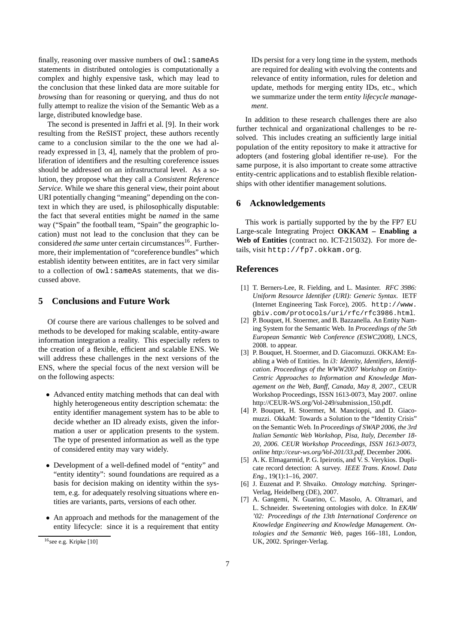finally, reasoning over massive numbers of  $\text{owl}:$  sameAs statements in distributed ontologies is computationally a complex and highly expensive task, which may lead to the conclusion that these linked data are more suitable for *browsing* than for reasoning or querying, and thus do not fully attempt to realize the vision of the Semantic Web as a large, distributed knowledge base.

The second is presented in Jaffri et al. [9]. In their work resulting from the ReSIST project, these authors recently came to a conclusion similar to the the one we had already expressed in [3, 4], namely that the problem of proliferation of identifiers and the resulting coreference issues should be addressed on an infrastructural level. As a solution, they propose what they call a *Consistent Reference Service*. While we share this general view, their point about URI potentially changing "meaning" depending on the context in which they are used, is philosophically disputable: the fact that several entities might be *named* in the same way ("Spain" the football team, "Spain" the geographic location) must not lead to the conclusion that they can be considered *the same* unter certain circumstances<sup>16</sup>. Furthermore, their implementation of "coreference bundles" which establish identity between entitites, are in fact very similar to a collection of owl:sameAs statements, that we discussed above.

## **5 Conclusions and Future Work**

Of course there are various challenges to be solved and methods to be developed for making scalable, entity-aware information integration a reality. This especially refers to the creation of a flexible, efficient and scalable ENS. We will address these challenges in the next versions of the ENS, where the special focus of the next version will be on the following aspects:

- Advanced entity matching methods that can deal with highly heterogeneous entity description schemata: the entity identifier management system has to be able to decide whether an ID already exists, given the information a user or application presents to the system. The type of presented information as well as the type of considered entity may vary widely.
- Development of a well-defined model of "entity" and "entity identity": sound foundations are required as a basis for decision making on identity within the system, e.g. for adequately resolving situations where entities are variants, parts, versions of each other.
- An approach and methods for the management of the entity lifecycle: since it is a requirement that entity

IDs persist for a very long time in the system, methods are required for dealing with evolving the contents and relevance of entity information, rules for deletion and update, methods for merging entity IDs, etc., which we summarize under the term *entity lifecycle management*.

In addition to these research challenges there are also further technical and organizational challenges to be resolved. This includes creating an sufficiently large initial population of the entity repository to make it attractive for adopters (and fostering global identifier re-use). For the same purpose, it is also important to create some attractive entity-centric applications and to establish flexible relationships with other identifier management solutions.

#### **6 Acknowledgements**

This work is partially supported by the by the FP7 EU Large-scale Integrating Project **OKKAM – Enabling a Web of Entities** (contract no. ICT-215032). For more details, visit http://fp7.okkam.org.

#### **References**

- [1] T. Berners-Lee, R. Fielding, and L. Masinter. *RFC 3986: Uniform Resource Identifier (URI): Generic Syntax*. IETF (Internet Engineering Task Force), 2005. http://www. gbiv.com/protocols/uri/rfc/rfc3986.html.
- [2] P. Bouquet, H. Stoermer, and B. Bazzanella. An Entity Naming System for the Semantic Web. In *Proceedings of the 5th European Semantic Web Conference (ESWC2008)*, LNCS, 2008. to appear.
- [3] P. Bouquet, H. Stoermer, and D. Giacomuzzi. OKKAM: Enabling a Web of Entities. In *i3: Identity, Identifiers, Identification. Proceedings of the WWW2007 Workshop on Entity-Centric Approaches to Information and Knowledge Management on the Web, Banff, Canada, May 8, 2007.*, CEUR Workshop Proceedings, ISSN 1613-0073, May 2007. online http://CEUR-WS.org/Vol-249/submission 150.pdf.
- [4] P. Bouquet, H. Stoermer, M. Mancioppi, and D. Giacomuzzi. OkkaM: Towards a Solution to the "Identity Crisis" on the Semantic Web. In *Proceedings of SWAP 2006, the 3rd Italian Semantic Web Workshop, Pisa, Italy, December 18- 20, 2006. CEUR Workshop Proceedings, ISSN 1613-0073, online http://ceur-ws.org/Vol-201/33.pdf*, December 2006.
- [5] A. K. Elmagarmid, P. G. Ipeirotis, and V. S. Verykios. Duplicate record detection: A survey. *IEEE Trans. Knowl. Data Eng.*, 19(1):1–16, 2007.
- [6] J. Euzenat and P. Shvaiko. *Ontology matching*. Springer-Verlag, Heidelberg (DE), 2007.
- [7] A. Gangemi, N. Guarino, C. Masolo, A. Oltramari, and L. Schneider. Sweetening ontologies with dolce. In *EKAW '02: Proceedings of the 13th International Conference on Knowledge Engineering and Knowledge Management. Ontologies and the Semantic Web*, pages 166–181, London, UK, 2002. Springer-Verlag.

<sup>16</sup>see e.g. Kripke [10]